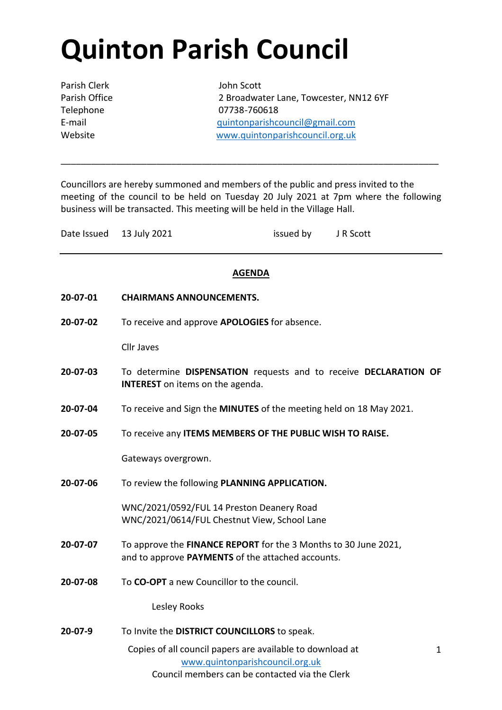# **Quinton Parish Council**

Parish Clerk John Scott

Parish Office 2 Broadwater Lane, Towcester, NN12 6YF Telephone 07738-760618 E-mail [quintonparishcouncil@gmail.com](mailto:quintonparishcouncil@gmail.com) Website [www.quintonparishcouncil.org.uk](http://www.quintonparishcouncil.org.uk/)

Councillors are hereby summoned and members of the public and press invited to the meeting of the council to be held on Tuesday 20 July 2021 at 7pm where the following business will be transacted. This meeting will be held in the Village Hall.

\_\_\_\_\_\_\_\_\_\_\_\_\_\_\_\_\_\_\_\_\_\_\_\_\_\_\_\_\_\_\_\_\_\_\_\_\_\_\_\_\_\_\_\_\_\_\_\_\_\_\_\_\_\_\_\_\_\_\_\_\_\_\_\_\_\_\_\_\_\_\_\_\_\_\_

| Date Issued 13 July 2021 | issued by | J R Scott |
|--------------------------|-----------|-----------|
|                          |           |           |

### **AGENDA**

- **20-07-01 CHAIRMANS ANNOUNCEMENTS.**
- **20-07-02** To receive and approve **APOLOGIES** for absence.

Cllr Javes

- **20-07-03** To determine **DISPENSATION** requests and to receive **DECLARATION OF INTEREST** on items on the agenda.
- **20-07-04** To receive and Sign the **MINUTES** of the meeting held on 18 May 2021.
- **20-07-05** To receive any **ITEMS MEMBERS OF THE PUBLIC WISH TO RAISE.**

Gateways overgrown.

**20-07-06** To review the following **PLANNING APPLICATION.**

WNC/2021/0592/FUL 14 Preston Deanery Road WNC/2021/0614/FUL Chestnut View, School Lane

- **20-07-07** To approve the **FINANCE REPORT** for the 3 Months to 30 June 2021, and to approve **PAYMENTS** of the attached accounts.
- **20-07-08** To **CO-OPT** a new Councillor to the council.

Lesley Rooks

**20-07-9** To Invite the **DISTRICT COUNCILLORS** to speak.

Copies of all council papers are available to download at [www.quintonparishcouncil.org.uk](http://www.quintonparishcouncil.org.uk/) Council members can be contacted via the Clerk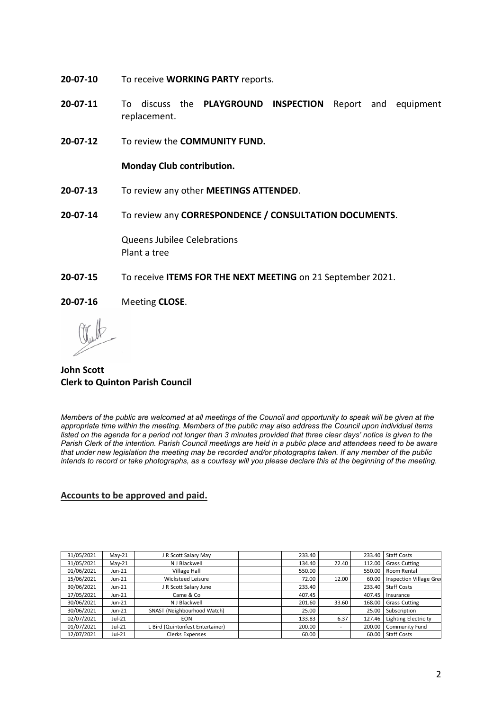- **20-07-10** To receive **WORKING PARTY** reports.
- **20-07-11** To discuss the **PLAYGROUND INSPECTION** Report and equipment replacement.
- **20-07-12** To review the **COMMUNITY FUND.**

**Monday Club contribution.**

- **20-07-13** To review any other **MEETINGS ATTENDED**.
- **20-07-14** To review any **CORRESPONDENCE / CONSULTATION DOCUMENTS**.

Queens Jubilee Celebrations Plant a tree

- **20-07-15** To receive **ITEMS FOR THE NEXT MEETING** on 21 September 2021.
- **20-07-16** Meeting **CLOSE**.

### **John Scott Clerk to Quinton Parish Council**

*Members of the public are welcomed at all meetings of the Council and opportunity to speak will be given at the appropriate time within the meeting. Members of the public may also address the Council upon individual items*  listed on the agenda for a period not longer than 3 minutes provided that three clear days' notice is given to the *Parish Clerk of the intention. Parish Council meetings are held in a public place and attendees need to be aware that under new legislation the meeting may be recorded and/or photographs taken. If any member of the public intends to record or take photographs, as a courtesy will you please declare this at the beginning of the meeting.*

#### **Accounts to be approved and paid.**

| 31/05/2021 | $May-21$ | J R Scott Salary May             | 233.40 |       | 233.40 | <b>Staff Costs</b>          |
|------------|----------|----------------------------------|--------|-------|--------|-----------------------------|
| 31/05/2021 | $May-21$ | N J Blackwell                    | 134.40 | 22.40 | 112.00 | <b>Grass Cutting</b>        |
| 01/06/2021 | $Jun-21$ | <b>Village Hall</b>              | 550.00 |       | 550.00 | Room Rental                 |
| 15/06/2021 | $Jun-21$ | Wicksteed Leisure                | 72.00  | 12.00 | 60.00  | Inspection Village Gree     |
| 30/06/2021 | $Jun-21$ | J R Scott Salary June            | 233.40 |       | 233.40 | <b>Staff Costs</b>          |
| 17/05/2021 | Jun-21   | Came & Co                        | 407.45 |       | 407.45 | Insurance                   |
| 30/06/2021 | Jun-21   | N J Blackwell                    | 201.60 | 33.60 | 168.00 | <b>Grass Cutting</b>        |
| 30/06/2021 | $Jun-21$ | SNAST (Neighbourhood Watch)      | 25.00  |       | 25.00  | Subscription                |
| 02/07/2021 | $Jul-21$ | <b>EON</b>                       | 133.83 | 6.37  | 127.46 | <b>Lighting Electricity</b> |
| 01/07/2021 | $Jul-21$ | L Bird (Quintonfest Entertainer) | 200.00 | ۰     | 200.00 | Community Fund              |
| 12/07/2021 | $Jul-21$ | Clerks Expenses                  | 60.00  |       | 60.00  | <b>Staff Costs</b>          |